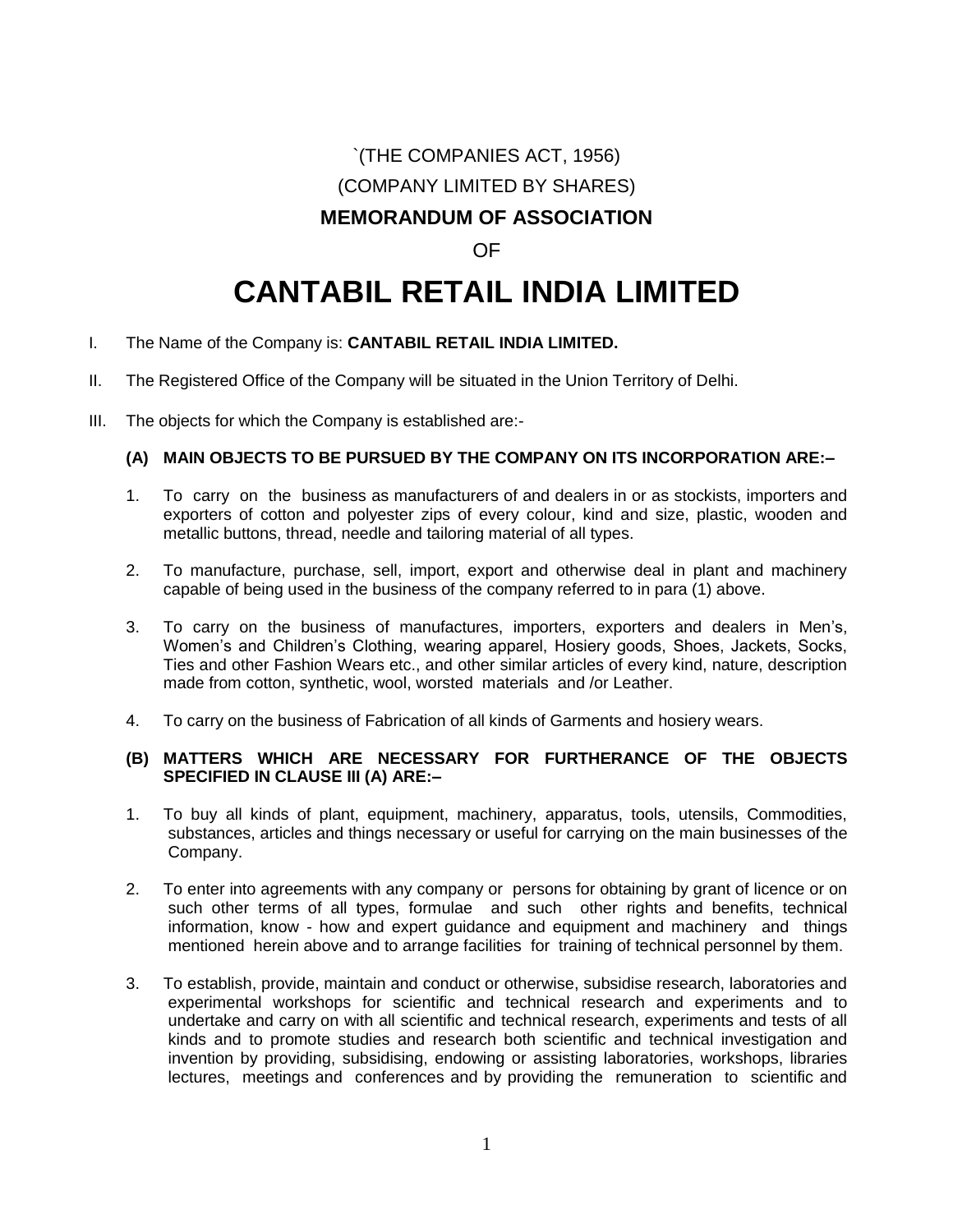## `(THE COMPANIES ACT, 1956) (COMPANY LIMITED BY SHARES)

### **MEMORANDUM OF ASSOCIATION**

### OF

# **CANTABIL RETAIL INDIA LIMITED**

- I. The Name of the Company is: **CANTABIL RETAIL INDIA LIMITED.**
- II. The Registered Office of the Company will be situated in the Union Territory of Delhi.
- III. The objects for which the Company is established are:-

### **(A) MAIN OBJECTS TO BE PURSUED BY THE COMPANY ON ITS INCORPORATION ARE:–**

- 1. To carry on the business as manufacturers of and dealers in or as stockists, importers and exporters of cotton and polyester zips of every colour, kind and size, plastic, wooden and metallic buttons, thread, needle and tailoring material of all types.
- 2. To manufacture, purchase, sell, import, export and otherwise deal in plant and machinery capable of being used in the business of the company referred to in para (1) above.
- 3. To carry on the business of manufactures, importers, exporters and dealers in Men's, Women's and Children's Clothing, wearing apparel, Hosiery goods, Shoes, Jackets, Socks, Ties and other Fashion Wears etc., and other similar articles of every kind, nature, description made from cotton, synthetic, wool, worsted materials and /or Leather.
- 4. To carry on the business of Fabrication of all kinds of Garments and hosiery wears.

#### **(B) MATTERS WHICH ARE NECESSARY FOR FURTHERANCE OF THE OBJECTS SPECIFIED IN CLAUSE III (A) ARE:–**

- 1. To buy all kinds of plant, equipment, machinery, apparatus, tools, utensils, Commodities, substances, articles and things necessary or useful for carrying on the main businesses of the Company.
- 2. To enter into agreements with any company or persons for obtaining by grant of licence or on such other terms of all types, formulae and such other rights and benefits, technical information, know - how and expert guidance and equipment and machinery and things mentioned herein above and to arrange facilities for training of technical personnel by them.
- 3. To establish, provide, maintain and conduct or otherwise, subsidise research, laboratories and experimental workshops for scientific and technical research and experiments and to undertake and carry on with all scientific and technical research, experiments and tests of all kinds and to promote studies and research both scientific and technical investigation and invention by providing, subsidising, endowing or assisting laboratories, workshops, libraries lectures, meetings and conferences and by providing the remuneration to scientific and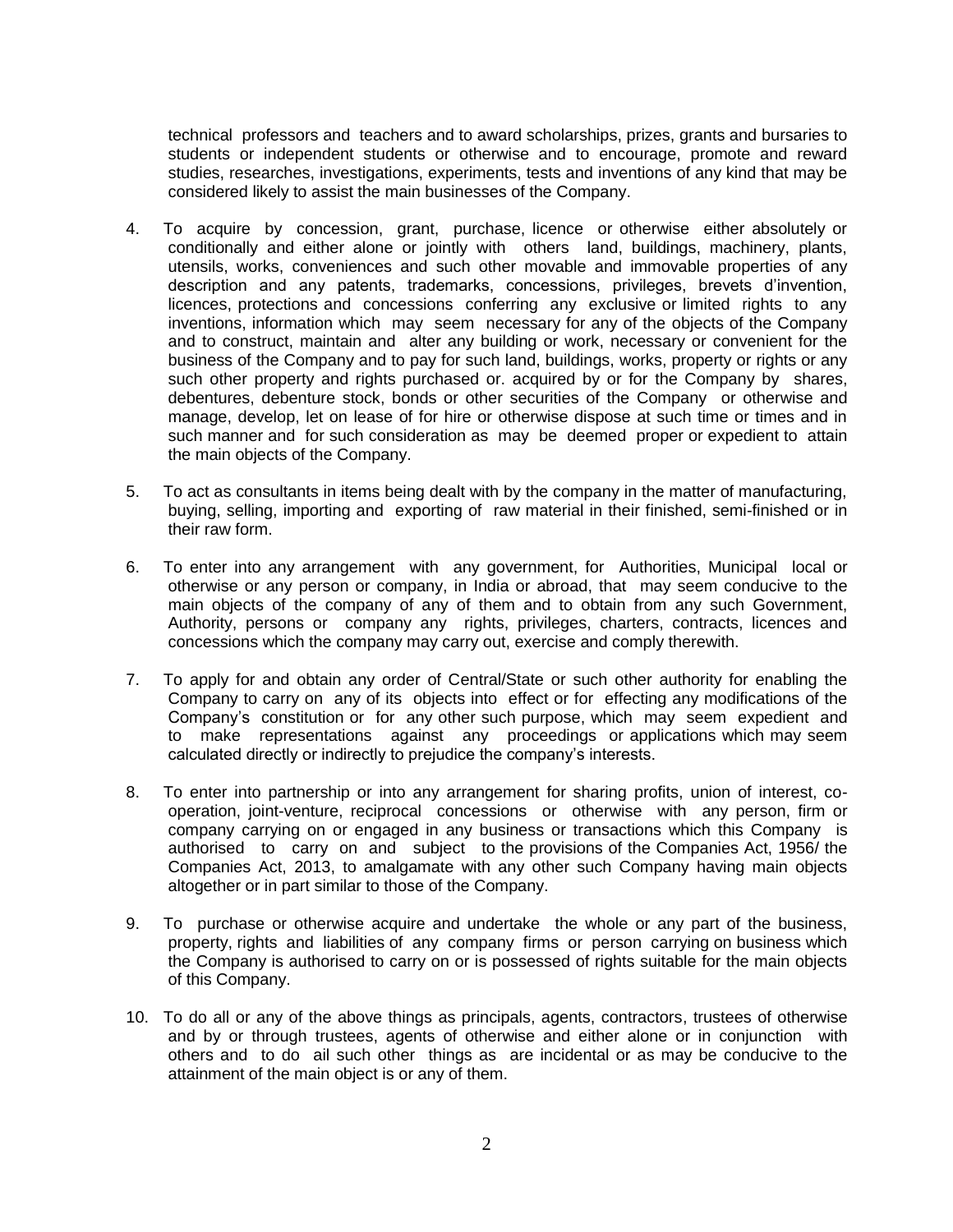technical professors and teachers and to award scholarships, prizes, grants and bursaries to students or independent students or otherwise and to encourage, promote and reward studies, researches, investigations, experiments, tests and inventions of any kind that may be considered likely to assist the main businesses of the Company.

- 4. To acquire by concession, grant, purchase, licence or otherwise either absolutely or conditionally and either alone or jointly with others land, buildings, machinery, plants, utensils, works, conveniences and such other movable and immovable properties of any description and any patents, trademarks, concessions, privileges, brevets d'invention, licences, protections and concessions conferring any exclusive or limited rights to any inventions, information which may seem necessary for any of the objects of the Company and to construct, maintain and alter any building or work, necessary or convenient for the business of the Company and to pay for such land, buildings, works, property or rights or any such other property and rights purchased or. acquired by or for the Company by shares, debentures, debenture stock, bonds or other securities of the Company or otherwise and manage, develop, let on lease of for hire or otherwise dispose at such time or times and in such manner and for such consideration as may be deemed proper or expedient to attain the main objects of the Company.
- 5. To act as consultants in items being dealt with by the company in the matter of manufacturing, buying, selling, importing and exporting of raw material in their finished, semi-finished or in their raw form.
- 6. To enter into any arrangement with any government, for Authorities, Municipal local or otherwise or any person or company, in India or abroad, that may seem conducive to the main objects of the company of any of them and to obtain from any such Government, Authority, persons or company any rights, privileges, charters, contracts, licences and concessions which the company may carry out, exercise and comply therewith.
- 7. To apply for and obtain any order of Central/State or such other authority for enabling the Company to carry on any of its objects into effect or for effecting any modifications of the Company's constitution or for any other such purpose, which may seem expedient and to make representations against any proceedings or applications which may seem calculated directly or indirectly to prejudice the company's interests.
- 8. To enter into partnership or into any arrangement for sharing profits, union of interest, cooperation, joint-venture, reciprocal concessions or otherwise with any person, firm or company carrying on or engaged in any business or transactions which this Company is authorised to carry on and subject to the provisions of the Companies Act, 1956/ the Companies Act, 2013, to amalgamate with any other such Company having main objects altogether or in part similar to those of the Company.
- 9. To purchase or otherwise acquire and undertake the whole or any part of the business, property, rights and liabilities of any company firms or person carrying on business which the Company is authorised to carry on or is possessed of rights suitable for the main objects of this Company.
- 10. To do all or any of the above things as principals, agents, contractors, trustees of otherwise and by or through trustees, agents of otherwise and either alone or in conjunction with others and to do ail such other things as are incidental or as may be conducive to the attainment of the main object is or any of them.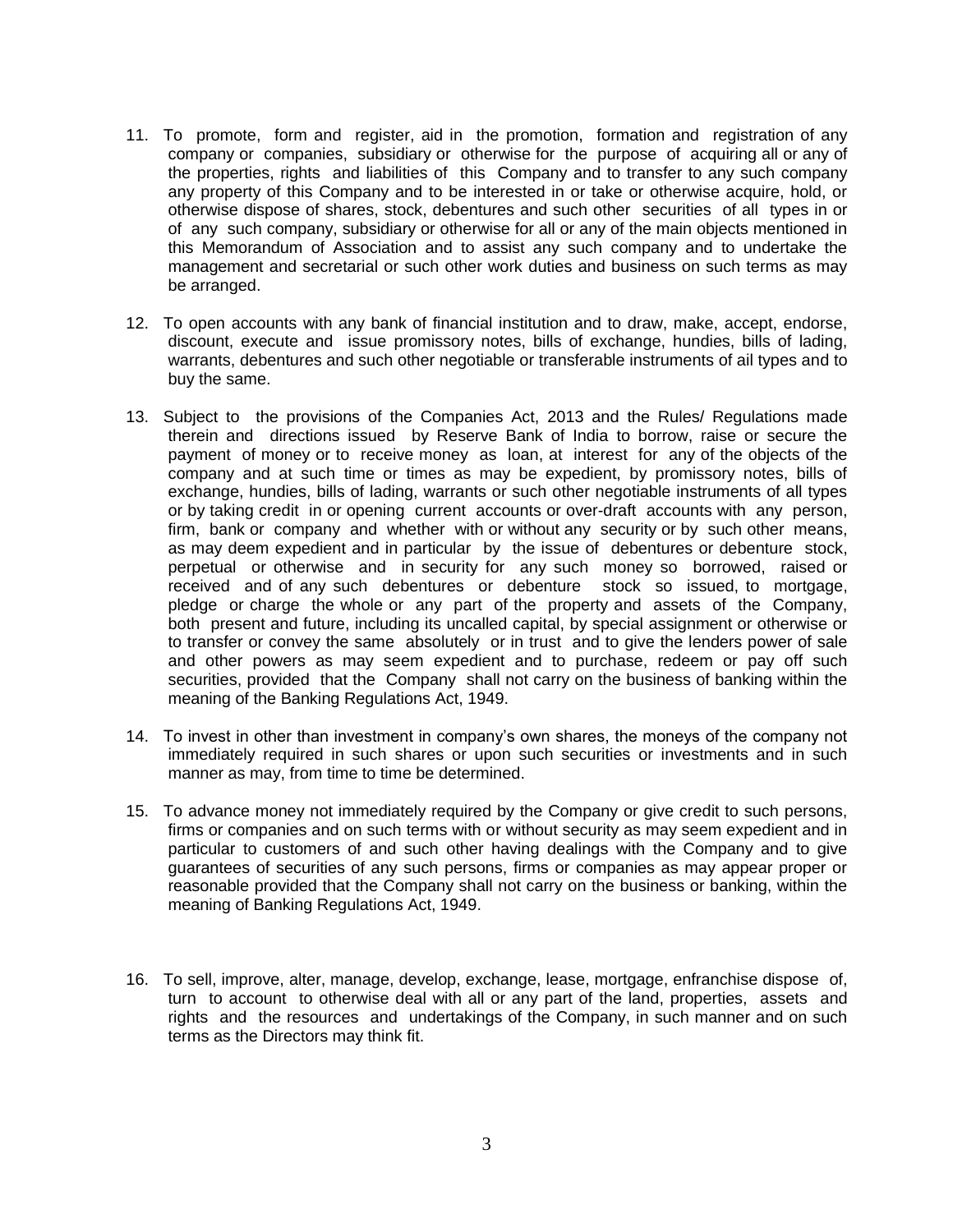- 11. To promote, form and register, aid in the promotion, formation and registration of any company or companies, subsidiary or otherwise for the purpose of acquiring all or any of the properties, rights and liabilities of this Company and to transfer to any such company any property of this Company and to be interested in or take or otherwise acquire, hold, or otherwise dispose of shares, stock, debentures and such other securities of all types in or of any such company, subsidiary or otherwise for all or any of the main objects mentioned in this Memorandum of Association and to assist any such company and to undertake the management and secretarial or such other work duties and business on such terms as may be arranged.
- 12. To open accounts with any bank of financial institution and to draw, make, accept, endorse, discount, execute and issue promissory notes, bills of exchange, hundies, bills of lading, warrants, debentures and such other negotiable or transferable instruments of ail types and to buy the same.
- 13. Subject to the provisions of the Companies Act, 2013 and the Rules/ Regulations made therein and directions issued by Reserve Bank of India to borrow, raise or secure the payment of money or to receive money as loan, at interest for any of the objects of the company and at such time or times as may be expedient, by promissory notes, bills of exchange, hundies, bills of lading, warrants or such other negotiable instruments of all types or by taking credit in or opening current accounts or over-draft accounts with any person, firm, bank or company and whether with or without any security or by such other means, as may deem expedient and in particular by the issue of debentures or debenture stock, perpetual or otherwise and in security for any such money so borrowed, raised or received and of any such debentures or debenture stock so issued, to mortgage, pledge or charge the whole or any part of the property and assets of the Company, both present and future, including its uncalled capital, by special assignment or otherwise or to transfer or convey the same absolutely or in trust and to give the lenders power of sale and other powers as may seem expedient and to purchase, redeem or pay off such securities, provided that the Company shall not carry on the business of banking within the meaning of the Banking Regulations Act, 1949.
- 14. To invest in other than investment in company's own shares, the moneys of the company not immediately required in such shares or upon such securities or investments and in such manner as may, from time to time be determined.
- 15. To advance money not immediately required by the Company or give credit to such persons, firms or companies and on such terms with or without security as may seem expedient and in particular to customers of and such other having dealings with the Company and to give guarantees of securities of any such persons, firms or companies as may appear proper or reasonable provided that the Company shall not carry on the business or banking, within the meaning of Banking Regulations Act, 1949.
- 16. To sell, improve, alter, manage, develop, exchange, lease, mortgage, enfranchise dispose of, turn to account to otherwise deal with all or any part of the land, properties, assets and rights and the resources and undertakings of the Company, in such manner and on such terms as the Directors may think fit.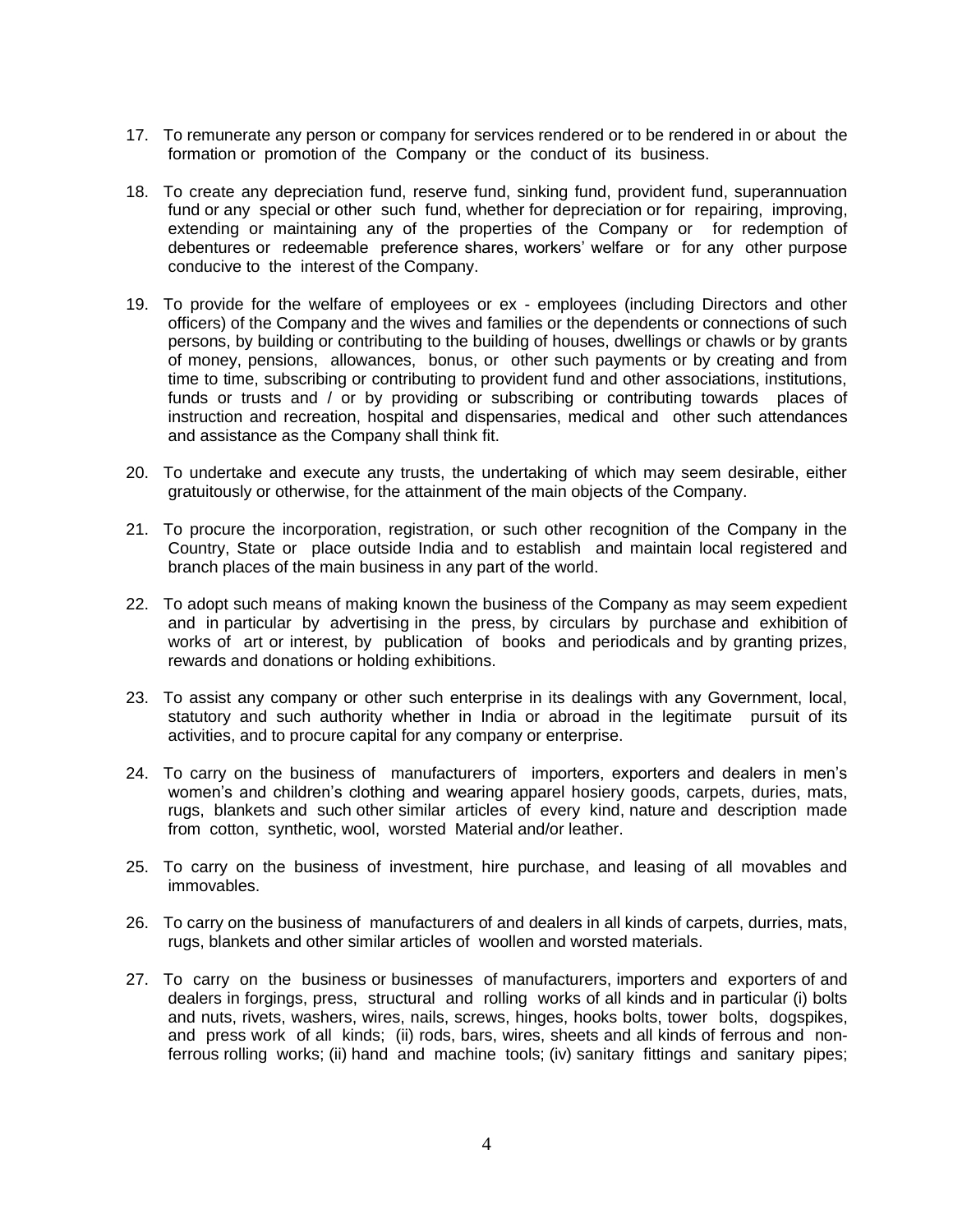- 17. To remunerate any person or company for services rendered or to be rendered in or about the formation or promotion of the Company or the conduct of its business.
- 18. To create any depreciation fund, reserve fund, sinking fund, provident fund, superannuation fund or any special or other such fund, whether for depreciation or for repairing, improving, extending or maintaining any of the properties of the Company or for redemption of debentures or redeemable preference shares, workers' welfare or for any other purpose conducive to the interest of the Company.
- 19. To provide for the welfare of employees or ex employees (including Directors and other officers) of the Company and the wives and families or the dependents or connections of such persons, by building or contributing to the building of houses, dwellings or chawls or by grants of money, pensions, allowances, bonus, or other such payments or by creating and from time to time, subscribing or contributing to provident fund and other associations, institutions, funds or trusts and / or by providing or subscribing or contributing towards places of instruction and recreation, hospital and dispensaries, medical and other such attendances and assistance as the Company shall think fit.
- 20. To undertake and execute any trusts, the undertaking of which may seem desirable, either gratuitously or otherwise, for the attainment of the main objects of the Company.
- 21. To procure the incorporation, registration, or such other recognition of the Company in the Country, State or place outside India and to establish and maintain local registered and branch places of the main business in any part of the world.
- 22. To adopt such means of making known the business of the Company as may seem expedient and in particular by advertising in the press, by circulars by purchase and exhibition of works of art or interest, by publication of books and periodicals and by granting prizes, rewards and donations or holding exhibitions.
- 23. To assist any company or other such enterprise in its dealings with any Government, local, statutory and such authority whether in India or abroad in the legitimate pursuit of its activities, and to procure capital for any company or enterprise.
- 24. To carry on the business of manufacturers of importers, exporters and dealers in men's women's and children's clothing and wearing apparel hosiery goods, carpets, duries, mats, rugs, blankets and such other similar articles of every kind, nature and description made from cotton, synthetic, wool, worsted Material and/or leather.
- 25. To carry on the business of investment, hire purchase, and leasing of all movables and immovables.
- 26. To carry on the business of manufacturers of and dealers in all kinds of carpets, durries, mats, rugs, blankets and other similar articles of woollen and worsted materials.
- 27. To carry on the business or businesses of manufacturers, importers and exporters of and dealers in forgings, press, structural and rolling works of all kinds and in particular (i) bolts and nuts, rivets, washers, wires, nails, screws, hinges, hooks bolts, tower bolts, dogspikes, and press work of all kinds; (ii) rods, bars, wires, sheets and all kinds of ferrous and nonferrous rolling works; (ii) hand and machine tools; (iv) sanitary fittings and sanitary pipes;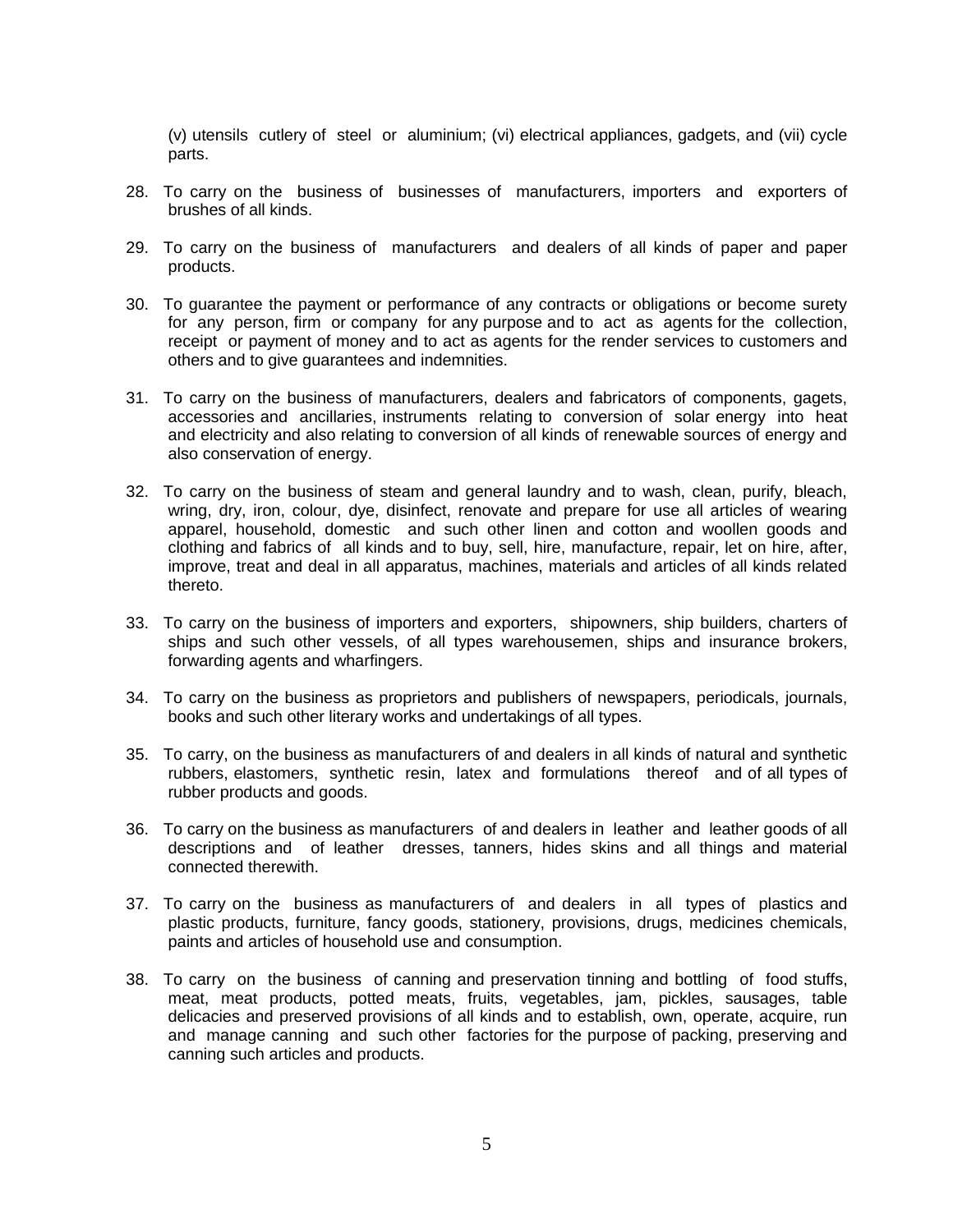(v) utensils cutlery of steel or aluminium; (vi) electrical appliances, gadgets, and (vii) cycle parts.

- 28. To carry on the business of businesses of manufacturers, importers and exporters of brushes of all kinds.
- 29. To carry on the business of manufacturers and dealers of all kinds of paper and paper products.
- 30. To guarantee the payment or performance of any contracts or obligations or become surety for any person, firm or company for any purpose and to act as agents for the collection, receipt or payment of money and to act as agents for the render services to customers and others and to give guarantees and indemnities.
- 31. To carry on the business of manufacturers, dealers and fabricators of components, gagets, accessories and ancillaries, instruments relating to conversion of solar energy into heat and electricity and also relating to conversion of all kinds of renewable sources of energy and also conservation of energy.
- 32. To carry on the business of steam and general laundry and to wash, clean, purify, bleach, wring, dry, iron, colour, dye, disinfect, renovate and prepare for use all articles of wearing apparel, household, domestic and such other linen and cotton and woollen goods and clothing and fabrics of all kinds and to buy, sell, hire, manufacture, repair, let on hire, after, improve, treat and deal in all apparatus, machines, materials and articles of all kinds related thereto.
- 33. To carry on the business of importers and exporters, shipowners, ship builders, charters of ships and such other vessels, of all types warehousemen, ships and insurance brokers, forwarding agents and wharfingers.
- 34. To carry on the business as proprietors and publishers of newspapers, periodicals, journals, books and such other literary works and undertakings of all types.
- 35. To carry, on the business as manufacturers of and dealers in all kinds of natural and synthetic rubbers, elastomers, synthetic resin, latex and formulations thereof and of all types of rubber products and goods.
- 36. To carry on the business as manufacturers of and dealers in leather and leather goods of all descriptions and of leather dresses, tanners, hides skins and all things and material connected therewith.
- 37. To carry on the business as manufacturers of and dealers in all types of plastics and plastic products, furniture, fancy goods, stationery, provisions, drugs, medicines chemicals, paints and articles of household use and consumption.
- 38. To carry on the business of canning and preservation tinning and bottling of food stuffs, meat, meat products, potted meats, fruits, vegetables, jam, pickles, sausages, table delicacies and preserved provisions of all kinds and to establish, own, operate, acquire, run and manage canning and such other factories for the purpose of packing, preserving and canning such articles and products.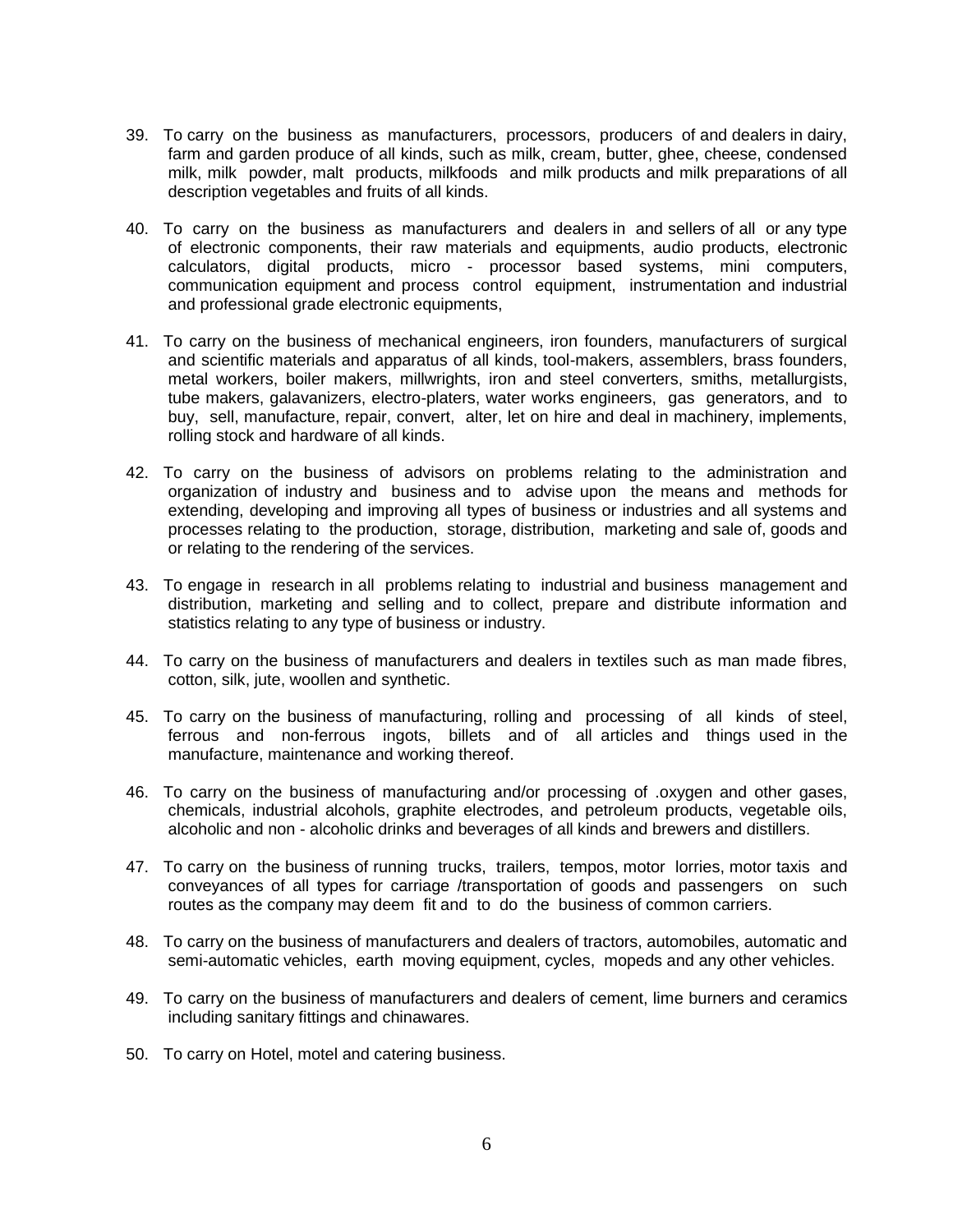- 39. To carry on the business as manufacturers, processors, producers of and dealers in dairy, farm and garden produce of all kinds, such as milk, cream, butter, ghee, cheese, condensed milk, milk powder, malt products, milkfoods and milk products and milk preparations of all description vegetables and fruits of all kinds.
- 40. To carry on the business as manufacturers and dealers in and sellers of all or any type of electronic components, their raw materials and equipments, audio products, electronic calculators, digital products, micro - processor based systems, mini computers, communication equipment and process control equipment, instrumentation and industrial and professional grade electronic equipments,
- 41. To carry on the business of mechanical engineers, iron founders, manufacturers of surgical and scientific materials and apparatus of all kinds, tool-makers, assemblers, brass founders, metal workers, boiler makers, millwrights, iron and steel converters, smiths, metallurgists, tube makers, galavanizers, electro-platers, water works engineers, gas generators, and to buy, sell, manufacture, repair, convert, alter, let on hire and deal in machinery, implements, rolling stock and hardware of all kinds.
- 42. To carry on the business of advisors on problems relating to the administration and organization of industry and business and to advise upon the means and methods for extending, developing and improving all types of business or industries and all systems and processes relating to the production, storage, distribution, marketing and sale of, goods and or relating to the rendering of the services.
- 43. To engage in research in all problems relating to industrial and business management and distribution, marketing and selling and to collect, prepare and distribute information and statistics relating to any type of business or industry.
- 44. To carry on the business of manufacturers and dealers in textiles such as man made fibres, cotton, silk, jute, woollen and synthetic.
- 45. To carry on the business of manufacturing, rolling and processing of all kinds of steel, ferrous and non-ferrous ingots, billets and of all articles and things used in the manufacture, maintenance and working thereof.
- 46. To carry on the business of manufacturing and/or processing of .oxygen and other gases, chemicals, industrial alcohols, graphite electrodes, and petroleum products, vegetable oils, alcoholic and non - alcoholic drinks and beverages of all kinds and brewers and distillers.
- 47. To carry on the business of running trucks, trailers, tempos, motor lorries, motor taxis and conveyances of all types for carriage /transportation of goods and passengers on such routes as the company may deem fit and to do the business of common carriers.
- 48. To carry on the business of manufacturers and dealers of tractors, automobiles, automatic and semi-automatic vehicles, earth moving equipment, cycles, mopeds and any other vehicles.
- 49. To carry on the business of manufacturers and dealers of cement, lime burners and ceramics including sanitary fittings and chinawares.
- 50. To carry on Hotel, motel and catering business.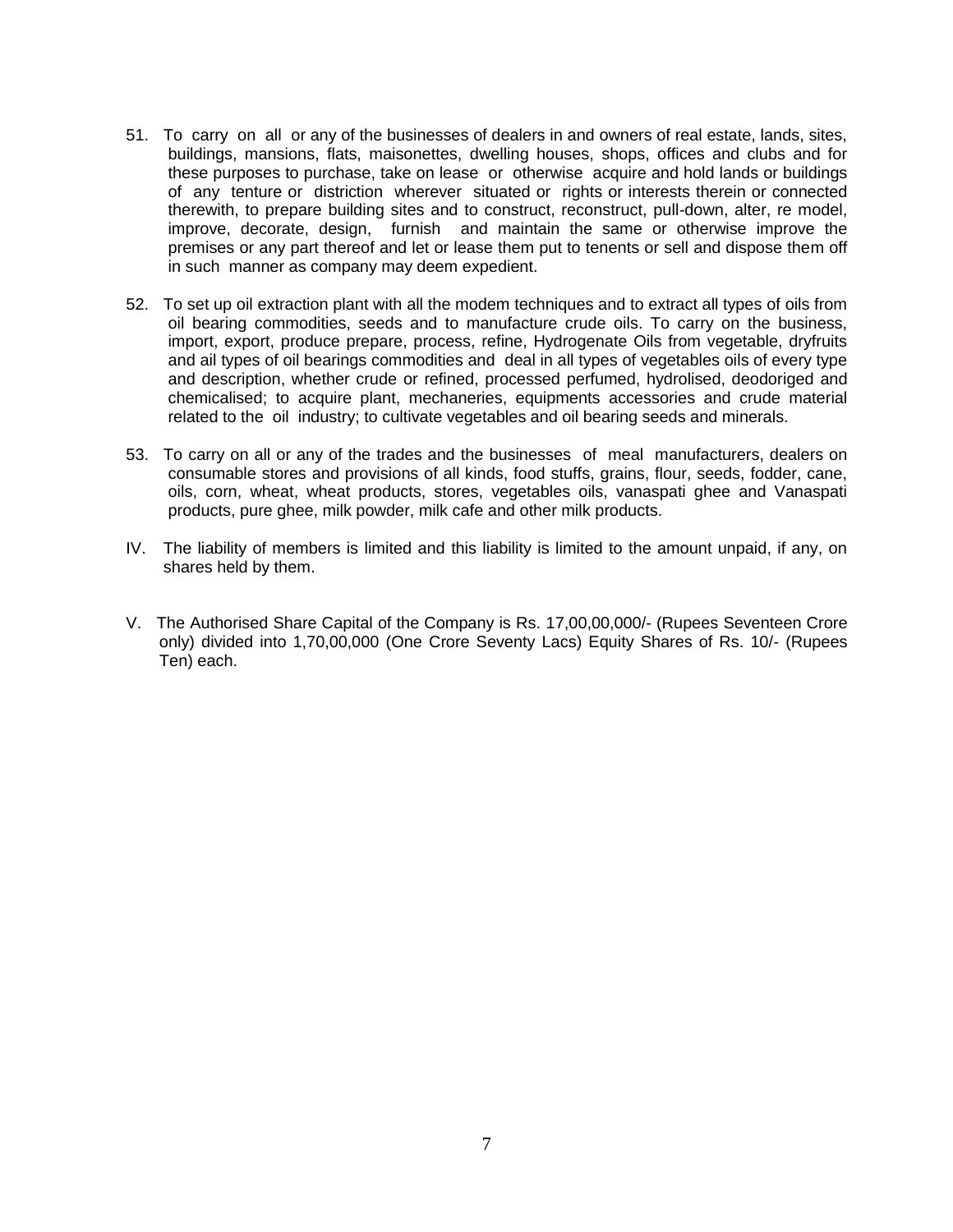- 51. To carry on all or any of the businesses of dealers in and owners of real estate, lands, sites, buildings, mansions, flats, maisonettes, dwelling houses, shops, offices and clubs and for these purposes to purchase, take on lease or otherwise acquire and hold lands or buildings of any tenture or distriction wherever situated or rights or interests therein or connected therewith, to prepare building sites and to construct, reconstruct, pull-down, alter, re model, improve, decorate, design, furnish and maintain the same or otherwise improve the premises or any part thereof and let or lease them put to tenents or sell and dispose them off in such manner as company may deem expedient.
- 52. To set up oil extraction plant with all the modem techniques and to extract all types of oils from oil bearing commodities, seeds and to manufacture crude oils. To carry on the business, import, export, produce prepare, process, refine, Hydrogenate Oils from vegetable, dryfruits and ail types of oil bearings commodities and deal in all types of vegetables oils of every type and description, whether crude or refined, processed perfumed, hydrolised, deodoriged and chemicalised; to acquire plant, mechaneries, equipments accessories and crude material related to the oil industry; to cultivate vegetables and oil bearing seeds and minerals.
- 53. To carry on all or any of the trades and the businesses of meal manufacturers, dealers on consumable stores and provisions of all kinds, food stuffs, grains, flour, seeds, fodder, cane, oils, corn, wheat, wheat products, stores, vegetables oils, vanaspati ghee and Vanaspati products, pure ghee, milk powder, milk cafe and other milk products.
- IV. The liability of members is limited and this liability is limited to the amount unpaid, if any, on shares held by them.
- V. The Authorised Share Capital of the Company is Rs. 17,00,00,000/- (Rupees Seventeen Crore only) divided into 1,70,00,000 (One Crore Seventy Lacs) Equity Shares of Rs. 10/- (Rupees Ten) each.